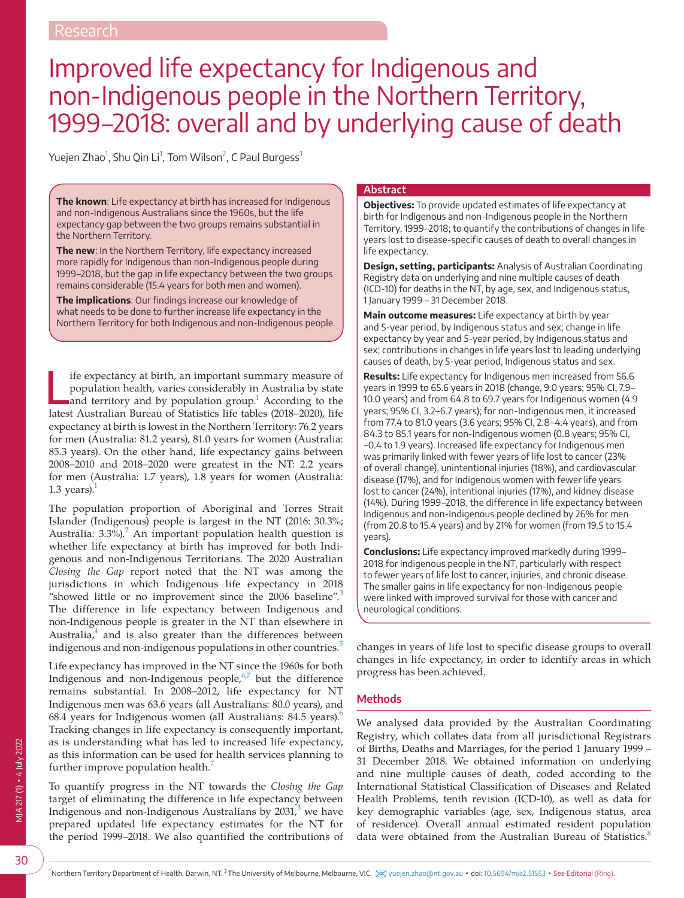# Improved life expectancy for Indigenous and non-Indigenous people in the Northern Territory, 1999–2018: overall and by underlying cause of death

Yuejen Zhao<sup>[1](#page-0-0)</sup>, Shu Qin Li<sup>1</sup>, Tom Wilson<sup>[2](#page-0-1)</sup>, C Paul Burgess<sup>1</sup>

**The known**: Life expectancy at birth has increased for Indigenous and non-Indigenous Australians since the 1960s, but the life expectancy gap between the two groups remains substantial in the Northern Territory.

**The new**: In the Northern Territory, life expectancy increased more rapidly for Indigenous than non-Indigenous people during 1999–2018, but the gap in life expectancy between the two groups remains considerable (15.4 years for both men and women).

**The implications**: Our findings increase our knowledge of what needs to be done to further increase life expectancy in the Northern Territory for both Indigenous and non-Indigenous people.

Ife expectancy at birth, an important summary measure of population health, varies considerably in Australia by state and territory and by population group.<sup>1</sup> According to the latest Australian Bureau of Statistics life t ife expectancy at birth, an important summary measure of population health, varies considerably in Australia by state and territory and by population group.<sup>1</sup> According to the expectancy at birth is lowest in the Northern Territory: 76.2 years for men (Australia: 81.2 years), 81.0 years for women (Australia: 85.3 years). On the other hand, life expectancy gains between 2008–2010 and 2018–2020 were greatest in the NT: 2.2 years for men (Australia: 1.7 years), 1.8 years for women (Australia: 1.3 years). $<sup>1</sup>$ </sup>

The population proportion of Aboriginal and Torres Strait Islander (Indigenous) people is largest in the NT (2016: 30.3%; Australia: 3.3%).<sup>[2](#page-4-1)</sup> An important population health question is whether life expectancy at birth has improved for both Indigenous and non-Indigenous Territorians. The 2020 Australian *Closing the Gap* report noted that the NT was among the jurisdictions in which Indigenous life expectancy in 2018 "showed little or no improvement since the 2006 baseline".<sup>[3](#page-4-2)</sup> The difference in life expectancy between Indigenous and non-Indigenous people is greater in the NT than elsewhere in Australia, $4$  and is also greater than the differences between indigenous and non-indigenous populations in other countries.<sup>[5](#page-4-4)</sup>

Life expectancy has improved in the NT since the 1960s for both Indigenous and non-Indigenous people, $6\frac{6}{7}$  but the difference remains substantial. In 2008–2012, life expectancy for NT Indigenous men was 63.6 years (all Australians: 80.0 years), and [6](#page-4-5)8.4 years for Indigenous women (all Australians:  $84.5$  years).<sup>6</sup> Tracking changes in life expectancy is consequently important, as is understanding what has led to increased life expectancy, as this information can be used for health services planning to further improve population health.<sup>7</sup>

<span id="page-0-1"></span><span id="page-0-0"></span>To quantify progress in the NT towards the *Closing the Gap* target of eliminating the difference in life expectancy between Indigenous and non-Indigenous Australians by 20[3](#page-4-2)1,  $\frac{3}{7}$  we have prepared updated life expectancy estimates for the NT for the period 1999–2018. We also quantified the contributions of

## **Abstract**

**Objectives:** To provide updated estimates of life expectancy at birth for Indigenous and non-Indigenous people in the Northern Territory, 1999–2018; to quantify the contributions of changes in life years lost to disease-specific causes of death to overall changes in life expectancy.

**Design, setting, participants:** Analysis of Australian Coordinating Registry data on underlying and nine multiple causes of death (ICD-10) for deaths in the NT, by age, sex, and Indigenous status, 1 January 1999 – 31 December 2018.

**Main outcome measures:** Life expectancy at birth by year and 5-year period, by Indigenous status and sex; change in life expectancy by year and 5-year period, by Indigenous status and sex; contributions in changes in life years lost to leading underlying causes of death, by 5-year period, Indigenous status and sex.

**Results:** Life expectancy for Indigenous men increased from 56.6 years in 1999 to 65.6 years in 2018 (change, 9.0 years; 95% CI, 7.9– 10.0 years) and from 64.8 to 69.7 years for Indigenous women (4.9 years; 95% CI, 3.2–6.7 years); for non-Indigenous men, it increased from 77.4 to 81.0 years (3.6 years; 95% CI, 2.8–4.4 years), and from 84.3 to 85.1 years for non-Indigenous women (0.8 years; 95% CI, –0.4 to 1.9 years). Increased life expectancy for Indigenous men was primarily linked with fewer years of life lost to cancer (23% of overall change), unintentional injuries (18%), and cardiovascular disease (17%), and for Indigenous women with fewer life years lost to cancer (24%), intentional injuries (17%), and kidney disease (14%). During 1999–2018, the difference in life expectancy between Indigenous and non-Indigenous people declined by 26% for men (from 20.8 to 15.4 years) and by 21% for women (from 19.5 to 15.4 years).

**Conclusions:** Life expectancy improved markedly during 1999– 2018 for Indigenous people in the NT, particularly with respect to fewer years of life lost to cancer, injuries, and chronic disease. The smaller gains in life expectancy for non-Indigenous people were linked with improved survival for those with cancer and neurological conditions.

changes in years of life lost to specific disease groups to overall changes in life expectancy, in order to identify areas in which progress has been achieved.

## **Methods**

We analysed data provided by the Australian Coordinating Registry, which collates data from all jurisdictional Registrars of Births, Deaths and Marriages, for the period 1 January 1999 – 31 December 2018. We obtained information on underlying and nine multiple causes of death, coded according to the International Statistical Classification of Diseases and Related Health Problems, tenth revision (ICD-10), as well as data for key demographic variables (age, sex, Indigenous status, area of residence). Overall annual estimated resident population data were obtained from the Australian Bureau of Statistics.<sup>[8](#page-4-7)</sup>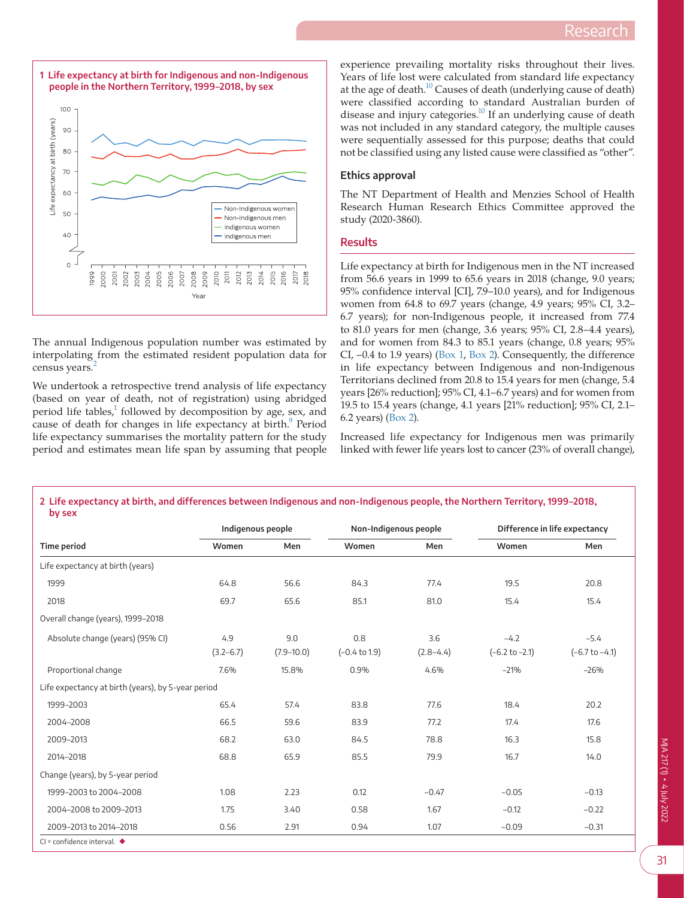<span id="page-1-0"></span>

The annual Indigenous population number was estimated by interpolating from the estimated resident population data for census years.<sup>[2](#page-4-1)</sup>

We undertook a retrospective trend analysis of life expectancy (based on year of death, not of registration) using abridged period life tables,<sup>1</sup> followed by decomposition by age, sex, and cause of death for changes in life expectancy at birth.<sup>9</sup> Period life expectancy summarises the mortality pattern for the study period and estimates mean life span by assuming that people

experience prevailing mortality risks throughout their lives. Years of life lost were calculated from standard life expectancy at the age of death.<sup>10</sup> Causes of death (underlying cause of death) were classified according to standard Australian burden of disease and injury categories.<sup>10</sup> If an underlying cause of death was not included in any standard category, the multiple causes were sequentially assessed for this purpose; deaths that could not be classified using any listed cause were classified as "other".

## **Ethics approval**

The NT Department of Health and Menzies School of Health Research Human Research Ethics Committee approved the study (2020-3860).

### **Results**

Life expectancy at birth for Indigenous men in the NT increased from 56.6 years in 1999 to 65.6 years in 2018 (change, 9.0 years; 95% confidence interval [CI], 7.9–10.0 years), and for Indigenous women from 64.8 to 69.7 years (change, 4.9 years; 95% CI, 3.2– 6.7 years); for non-Indigenous people, it increased from 77.4 to 81.0 years for men (change, 3.6 years; 95% CI, 2.8–4.4 years), and for women from 84.3 to 85.1 years (change, 0.8 years; 95% CI, –0.4 to 1.9 years) [\(Box 1,](#page-1-0) [Box 2](#page-1-1)). Consequently, the difference in life expectancy between Indigenous and non-Indigenous Territorians declined from 20.8 to 15.4 years for men (change, 5.4 years [26% reduction]; 95% CI, 4.1–6.7 years) and for women from 19.5 to 15.4 years (change, 4.1 years [21% reduction]; 95% CI, 2.1– 6.2 years) ([Box 2](#page-1-1)).

Increased life expectancy for Indigenous men was primarily linked with fewer life years lost to cancer (23% of overall change),

| by sex                                             |                   |                |                          |             |                               |                  |  |
|----------------------------------------------------|-------------------|----------------|--------------------------|-------------|-------------------------------|------------------|--|
|                                                    | Indigenous people |                | Non-Indigenous people    |             | Difference in life expectancy |                  |  |
| <b>Time period</b>                                 | Women             | Men            | Women                    | Men         | Women                         | Men              |  |
| Life expectancy at birth (years)                   |                   |                |                          |             |                               |                  |  |
| 1999                                               | 64.8              | 56.6           | 84.3                     | 77.4        | 19.5                          | 20.8             |  |
| 2018                                               | 69.7              | 65.6           | 85.1                     | 81.0        | 15.4                          | 15.4             |  |
| Overall change (years), 1999-2018                  |                   |                |                          |             |                               |                  |  |
| Absolute change (years) (95% CI)                   | 4.9               | 9.0            | 0.8                      | 3.6         | $-4.2$                        | $-5.4$           |  |
|                                                    | $(3.2 - 6.7)$     | $(7.9 - 10.0)$ | $(-0.4 \text{ to } 1.9)$ | $(2.8-4.4)$ | $(-6.2 \text{ to } -2.1)$     | $(-6.7 to -4.1)$ |  |
| Proportional change                                | 7.6%              | 15.8%          | 0.9%                     | 4.6%        | $-21%$                        | $-26%$           |  |
| Life expectancy at birth (years), by 5-year period |                   |                |                          |             |                               |                  |  |
| 1999-2003                                          | 65.4              | 57.4           | 83.8                     | 77.6        | 18.4                          | 20.2             |  |
| 2004-2008                                          | 66.5              | 59.6           | 83.9                     | 77.2        | 17.4                          | 17.6             |  |
| 2009-2013                                          | 68.2              | 63.0           | 84.5                     | 78.8        | 16.3                          | 15.8             |  |
| 2014-2018                                          | 68.8              | 65.9           | 85.5                     | 79.9        | 16.7                          | 14.0             |  |
| Change (years), by 5-year period                   |                   |                |                          |             |                               |                  |  |
| 1999-2003 to 2004-2008                             | 1.08              | 2.23           | 0.12                     | $-0.47$     | $-0.05$                       | $-0.13$          |  |
| 2004-2008 to 2009-2013                             | 1.75              | 3.40           | 0.58                     | 1.67        | $-0.12$                       | $-0.22$          |  |
| 2009-2013 to 2014-2018                             | 0.56              | 2.91           | 0.94                     | 1.07        | $-0.09$                       | $-0.31$          |  |

<span id="page-1-1"></span>**2 Life expectancy at birth, and differences between Indigenous and non-Indigenous people, the Northern Territory, 1999–2018,**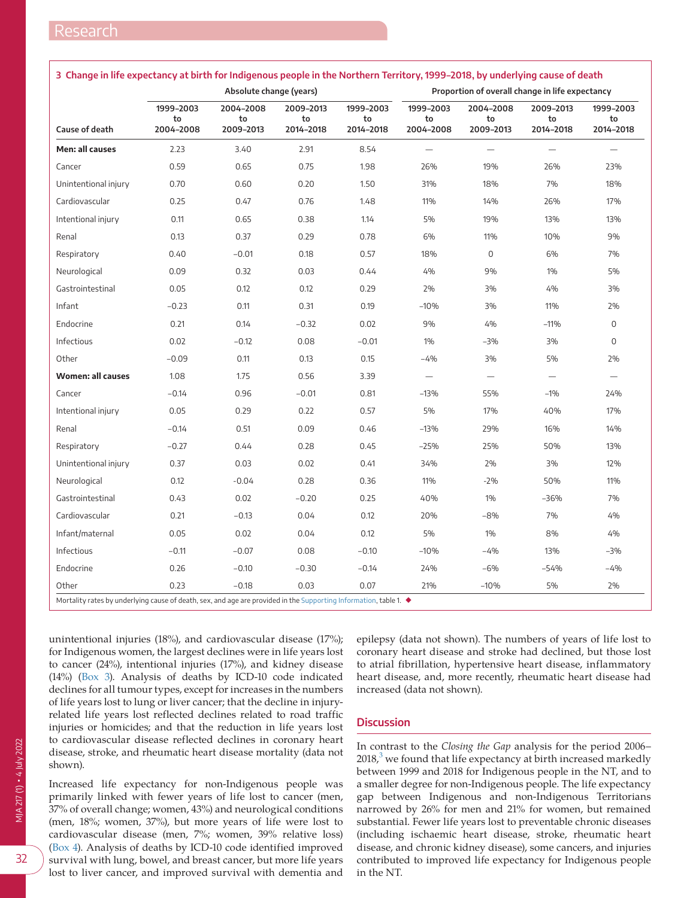|                          | Absolute change (years)      |                              |                              |                              | Proportion of overall change in life expectancy |                              |                              |                              |
|--------------------------|------------------------------|------------------------------|------------------------------|------------------------------|-------------------------------------------------|------------------------------|------------------------------|------------------------------|
| <b>Cause of death</b>    | 1999-2003<br>to<br>2004-2008 | 2004-2008<br>to<br>2009-2013 | 2009-2013<br>to<br>2014-2018 | 1999-2003<br>to<br>2014-2018 | 1999-2003<br>to<br>2004-2008                    | 2004-2008<br>to<br>2009-2013 | 2009-2013<br>to<br>2014-2018 | 1999-2003<br>to<br>2014-2018 |
| <b>Men: all causes</b>   | 2.23                         | 3.40                         | 2.91                         | 8.54                         |                                                 |                              |                              |                              |
| Cancer                   | 0.59                         | 0.65                         | 0.75                         | 1.98                         | 26%                                             | 19%                          | 26%                          | 23%                          |
| Unintentional injury     | 0.70                         | 0.60                         | 0.20                         | 1.50                         | 31%                                             | 18%                          | 7%                           | 18%                          |
| Cardiovascular           | 0.25                         | 0.47                         | 0.76                         | 1.48                         | 11%                                             | 14%                          | 26%                          | 17%                          |
| Intentional injury       | 0.11                         | 0.65                         | 0.38                         | 1.14                         | 5%                                              | 19%                          | 13%                          | 13%                          |
| Renal                    | 0.13                         | 0.37                         | 0.29                         | 0.78                         | 6%                                              | 11%                          | 10%                          | 9%                           |
| Respiratory              | 0.40                         | $-0.01$                      | 0.18                         | 0.57                         | 18%                                             | $\mathbf{0}$                 | 6%                           | 7%                           |
| Neurological             | 0.09                         | 0.32                         | 0.03                         | 0.44                         | 4%                                              | 9%                           | 1%                           | 5%                           |
| Gastrointestinal         | 0.05                         | 0.12                         | 0.12                         | 0.29                         | 2%                                              | 3%                           | 4%                           | 3%                           |
| Infant                   | $-0.23$                      | 0.11                         | 0.31                         | 0.19                         | $-10%$                                          | 3%                           | 11%                          | 2%                           |
| Endocrine                | 0.21                         | 0.14                         | $-0.32$                      | 0.02                         | 9%                                              | 4%                           | $-11%$                       | $\mathsf{O}\xspace$          |
| Infectious               | 0.02                         | $-0.12$                      | 0.08                         | $-0.01$                      | 1%                                              | $-3%$                        | 3%                           | $\overline{0}$               |
| Other                    | $-0.09$                      | 0.11                         | 0.13                         | 0.15                         | -4%                                             | 3%                           | 5%                           | 2%                           |
| <b>Women: all causes</b> | 1.08                         | 1.75                         | 0.56                         | 3.39                         | $\qquad \qquad -$                               | $\qquad \qquad -$            | $\qquad \qquad -$            | $\overline{\phantom{0}}$     |
| Cancer                   | $-0.14$                      | 0.96                         | $-0.01$                      | 0.81                         | $-13%$                                          | 55%                          | $-1%$                        | 24%                          |
| Intentional injury       | 0.05                         | 0.29                         | 0.22                         | 0.57                         | 5%                                              | 17%                          | 40%                          | 17%                          |
| Renal                    | $-0.14$                      | 0.51                         | 0.09                         | 0.46                         | $-13%$                                          | 29%                          | 16%                          | 14%                          |
| Respiratory              | $-0.27$                      | 0.44                         | 0.28                         | 0.45                         | $-25%$                                          | 25%                          | 50%                          | 13%                          |
| Unintentional injury     | 0.37                         | 0.03                         | 0.02                         | 0.41                         | 34%                                             | 2%                           | 3%                           | 12%                          |
| Neurological             | 0.12                         | $-0.04$                      | 0.28                         | 0.36                         | 11%                                             | $-2%$                        | 50%                          | 11%                          |
| Gastrointestinal         | 0.43                         | 0.02                         | $-0.20$                      | 0.25                         | 40%                                             | 1%                           | $-36%$                       | 7%                           |
| Cardiovascular           | 0.21                         | $-0.13$                      | 0.04                         | 0.12                         | 20%                                             | $-8%$                        | 7%                           | 4%                           |
| Infant/maternal          | 0.05                         | 0.02                         | 0.04                         | 0.12                         | 5%                                              | 1%                           | 8%                           | 4%                           |
| Infectious               | $-0.11$                      | $-0.07$                      | 0.08                         | $-0.10$                      | $-10%$                                          | $-4%$                        | 13%                          | $-3%$                        |
| Endocrine                | 0.26                         | $-0.10$                      | $-0.30$                      | $-0.14$                      | 24%                                             | $-6%$                        | $-54%$                       | $-4%$                        |
| Other                    | 0.23                         | $-0.18$                      | 0.03                         | 0.07                         | 21%                                             | $-10%$                       | 5%                           | 2%                           |

#### <span id="page-2-0"></span>**3 Change in life expectancy at birth for Indigenous people in the Northern Territory, 1999–2018, by underlying cause of death**

unintentional injuries (18%), and cardiovascular disease (17%); for Indigenous women, the largest declines were in life years lost to cancer (24%), intentional injuries (17%), and kidney disease (14%) [\(Box 3](#page-2-0)). Analysis of deaths by ICD-10 code indicated declines for all tumour types, except for increases in the numbers of life years lost to lung or liver cancer; that the decline in injury-related life years lost reflected declines related to road traffic injuries or homicides; and that the reduction in life years lost to cardiovascular disease reflected declines in coronary heart disease, stroke, and rheumatic heart disease mortality (data not shown).

Increased life expectancy for non-Indigenous people was primarily linked with fewer years of life lost to cancer (men, 37% of overall change; women, 43%) and neurological conditions (men, 18%; women, 37%), but more years of life were lost to cardiovascular disease (men, 7%; women, 39% relative loss) ([Box 4](#page-3-0)). Analysis of deaths by ICD-10 code identified improved survival with lung, bowel, and breast cancer, but more life years lost to liver cancer, and improved survival with dementia and

epilepsy (data not shown). The numbers of years of life lost to coronary heart disease and stroke had declined, but those lost to atrial fibrillation, hypertensive heart disease, inflammatory heart disease, and, more recently, rheumatic heart disease had increased (data not shown).

## **Discussion**

In contrast to the *Closing the Gap* analysis for the period 2006–  $2018<sup>3</sup>$  $2018<sup>3</sup>$  $2018<sup>3</sup>$  we found that life expectancy at birth increased markedly between 1999 and 2018 for Indigenous people in the NT, and to a smaller degree for non-Indigenous people. The life expectancy gap between Indigenous and non-Indigenous Territorians narrowed by 26% for men and 21% for women, but remained substantial. Fewer life years lost to preventable chronic diseases (including ischaemic heart disease, stroke, rheumatic heart disease, and chronic kidney disease), some cancers, and injuries contributed to improved life expectancy for Indigenous people in the NT.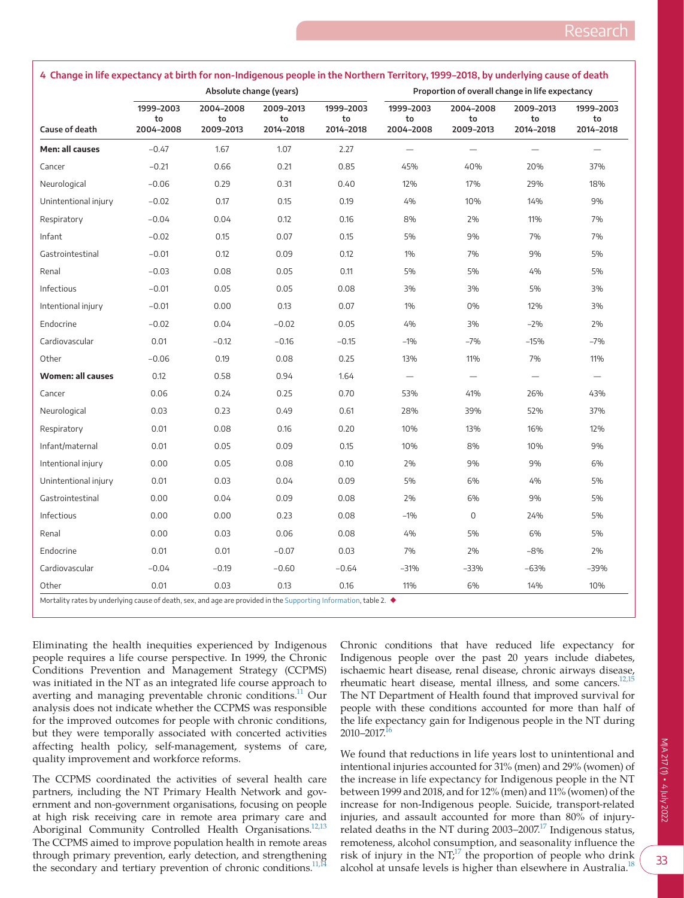|                          | Absolute change (years)      |                              |                              |                              | Proportion of overall change in life expectancy |                              |                              |                              |
|--------------------------|------------------------------|------------------------------|------------------------------|------------------------------|-------------------------------------------------|------------------------------|------------------------------|------------------------------|
| Cause of death           | 1999-2003<br>to<br>2004-2008 | 2004-2008<br>to<br>2009-2013 | 2009-2013<br>to<br>2014-2018 | 1999-2003<br>to<br>2014-2018 | 1999-2003<br>to<br>2004-2008                    | 2004-2008<br>to<br>2009-2013 | 2009-2013<br>to<br>2014-2018 | 1999-2003<br>to<br>2014-2018 |
| Men: all causes          | $-0.47$                      | 1.67                         | 1.07                         | 2.27                         | $\qquad \qquad -$                               |                              | $\overline{\phantom{0}}$     | $\overline{\phantom{0}}$     |
| Cancer                   | $-0.21$                      | 0.66                         | 0.21                         | 0.85                         | 45%                                             | 40%                          | 20%                          | 37%                          |
| Neurological             | $-0.06$                      | 0.29                         | 0.31                         | 0.40                         | 12%                                             | 17%                          | 29%                          | 18%                          |
| Unintentional injury     | $-0.02$                      | 0.17                         | 0.15                         | 0.19                         | 4%                                              | 10%                          | 14%                          | 9%                           |
| Respiratory              | $-0.04$                      | 0.04                         | 0.12                         | 0.16                         | 8%                                              | 2%                           | 11%                          | 7%                           |
| Infant                   | $-0.02$                      | 0.15                         | 0.07                         | 0.15                         | 5%                                              | 9%                           | 7%                           | 7%                           |
| Gastrointestinal         | $-0.01$                      | 0.12                         | 0.09                         | 0.12                         | 1%                                              | 7%                           | 9%                           | 5%                           |
| Renal                    | $-0.03$                      | 0.08                         | 0.05                         | 0.11                         | 5%                                              | 5%                           | 4%                           | 5%                           |
| Infectious               | $-0.01$                      | 0.05                         | 0.05                         | 0.08                         | 3%                                              | 3%                           | 5%                           | 3%                           |
| Intentional injury       | $-0.01$                      | 0.00                         | 0.13                         | 0.07                         | 1%                                              | 0%                           | 12%                          | 3%                           |
| Endocrine                | $-0.02$                      | 0.04                         | $-0.02$                      | 0.05                         | 4%                                              | 3%                           | $-2%$                        | 2%                           |
| Cardiovascular           | 0.01                         | $-0.12$                      | $-0.16$                      | $-0.15$                      | $-1%$                                           | $-7%$                        | $-15%$                       | $-7%$                        |
| Other                    | $-0.06$                      | 0.19                         | 0.08                         | 0.25                         | 13%                                             | 11%                          | 7%                           | 11%                          |
| <b>Women: all causes</b> | 0.12                         | 0.58                         | 0.94                         | 1.64                         | $\qquad \qquad -$                               | $\overline{\phantom{m}}$     | $\qquad \qquad -$            | $\overline{\phantom{0}}$     |
| Cancer                   | 0.06                         | 0.24                         | 0.25                         | 0.70                         | 53%                                             | 41%                          | 26%                          | 43%                          |
| Neurological             | 0.03                         | 0.23                         | 0.49                         | 0.61                         | 28%                                             | 39%                          | 52%                          | 37%                          |
| Respiratory              | 0.01                         | 0.08                         | 0.16                         | 0.20                         | 10%                                             | 13%                          | 16%                          | 12%                          |
| Infant/maternal          | 0.01                         | 0.05                         | 0.09                         | 0.15                         | 10%                                             | 8%                           | 10%                          | 9%                           |
| Intentional injury       | 0.00                         | 0.05                         | 0.08                         | 0.10                         | 2%                                              | 9%                           | 9%                           | 6%                           |
| Unintentional injury     | 0.01                         | 0.03                         | 0.04                         | 0.09                         | 5%                                              | 6%                           | 4%                           | 5%                           |
| Gastrointestinal         | 0.00                         | 0.04                         | 0.09                         | 0.08                         | 2%                                              | 6%                           | 9%                           | 5%                           |
| Infectious               | 0.00                         | 0.00                         | 0.23                         | 0.08                         | $-1\%$                                          | 0                            | 24%                          | 5%                           |
| Renal                    | 0.00                         | 0.03                         | 0.06                         | 0.08                         | 4%                                              | 5%                           | 6%                           | 5%                           |
| Endocrine                | 0.01                         | 0.01                         | $-0.07$                      | 0.03                         | 7%                                              | 2%                           | $-8%$                        | 2%                           |
| Cardiovascular           | $-0.04$                      | $-0.19$                      | $-0.60$                      | $-0.64$                      | $-31%$                                          | $-33%$                       | $-63%$                       | $-39%$                       |
| Other                    | 0.01                         | 0.03                         | 0.13                         | 0.16                         | 11%                                             | 6%                           | 14%                          | 10%                          |

<span id="page-3-0"></span>

| 4 Change in life expectancy at birth for non-Indigenous people in the Northern Territory, 1999-2018, by underlying cause of death |  |
|-----------------------------------------------------------------------------------------------------------------------------------|--|
|-----------------------------------------------------------------------------------------------------------------------------------|--|

Eliminating the health inequities experienced by Indigenous people requires a life course perspective. In 1999, the Chronic Conditions Prevention and Management Strategy (CCPMS) was initiated in the NT as an integrated life course approach to averting and managing preventable chronic conditions.<sup>11</sup> Our analysis does not indicate whether the CCPMS was responsible for the improved outcomes for people with chronic conditions, but they were temporally associated with concerted activities affecting health policy, self-management, systems of care, quality improvement and workforce reforms.

The CCPMS coordinated the activities of several health care partners, including the NT Primary Health Network and government and non-government organisations, focusing on people at high risk receiving care in remote area primary care and Aboriginal Community Controlled Health Organisations.<sup>12,13</sup> The CCPMS aimed to improve population health in remote areas through primary prevention, early detection, and strengthening the secondary and tertiary prevention of chronic conditions.<sup>11,14</sup>

Chronic conditions that have reduced life expectancy for Indigenous people over the past 20 years include diabetes, ischaemic heart disease, renal disease, chronic airways disease, rheumatic heart disease, mental illness, and some cancers.<sup>12,15</sup> The NT Department of Health found that improved survival for people with these conditions accounted for more than half of the life expectancy gain for Indigenous people in the NT during  $2010 - 2017$ <sup>16</sup>

We found that reductions in life years lost to unintentional and intentional injuries accounted for 31% (men) and 29% (women) of the increase in life expectancy for Indigenous people in the NT between 1999 and 2018, and for 12% (men) and 11% (women) of the increase for non-Indigenous people. Suicide, transport-related injuries, and assault accounted for more than 80% of injuryrelated deaths in the NT during  $2003-2007$ <sup>17</sup> Indigenous status, remoteness, alcohol consumption, and seasonality influence the risk of injury in the  $NT<sub>i</sub><sup>17</sup>$  the proportion of people who drink alcohol at unsafe levels is higher than elsewhere in Australia.<sup>1</sup>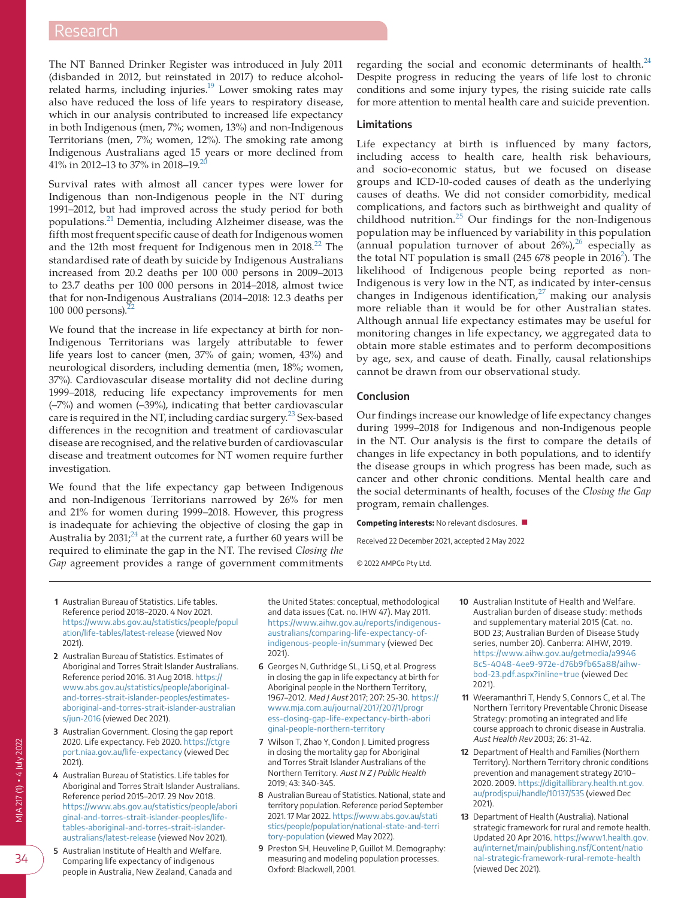The NT Banned Drinker Register was introduced in July 2011 (disbanded in 2012, but reinstated in 2017) to reduce alcohol-related harms, including injuries. $19$  Lower smoking rates may also have reduced the loss of life years to respiratory disease, which in our analysis contributed to increased life expectancy in both Indigenous (men, 7%; women, 13%) and non-Indigenous Territorians (men, 7%; women, 12%). The smoking rate among Indigenous Australians aged 15 years or more declined from 41% in [20](#page-5-5)12–13 to 37% in 2018–19.<sup>20</sup>

Survival rates with almost all cancer types were lower for Indigenous than non-Indigenous people in the NT during 1991–2012, but had improved across the study period for both populations.[21](#page-5-6) Dementia, including Alzheimer disease, was the fifth most frequent specific cause of death for Indigenous women and the 12th most frequent for Indigenous men in 2018.<sup>[22](#page-5-7)</sup> The standardised rate of death by suicide by Indigenous Australians increased from 20.2 deaths per 100 000 persons in 2009–2013 to 23.7 deaths per 100 000 persons in 2014–2018, almost twice that for non-Indigenous Australians (2014–2018: 12.3 deaths per 100 000 persons).<sup>2</sup>

We found that the increase in life expectancy at birth for non-Indigenous Territorians was largely attributable to fewer life years lost to cancer (men, 37% of gain; women, 43%) and neurological disorders, including dementia (men, 18%; women, 37%). Cardiovascular disease mortality did not decline during 1999–2018, reducing life expectancy improvements for men (–7%) and women (–39%), indicating that better cardiovascular care is required in the NT, including cardiac surgery.<sup>[23](#page-5-8)</sup> Sex-based differences in the recognition and treatment of cardiovascular disease are recognised, and the relative burden of cardiovascular disease and treatment outcomes for NT women require further investigation.

We found that the life expectancy gap between Indigenous and non-Indigenous Territorians narrowed by 26% for men and 21% for women during 1999–2018. However, this progress is inadequate for achieving the objective of closing the gap in Australia by  $2031<sup>24</sup>$  at the current rate, a further 60 years will be required to eliminate the gap in the NT. The revised *Closing the Gap* agreement provides a range of government commitments

regarding the social and economic determinants of health. $^{24}$  $^{24}$  $^{24}$ Despite progress in reducing the years of life lost to chronic conditions and some injury types, the rising suicide rate calls for more attention to mental health care and suicide prevention.

#### **Limitations**

Life expectancy at birth is influenced by many factors, including access to health care, health risk behaviours, and socio-economic status, but we focused on disease groups and ICD-10-coded causes of death as the underlying causes of deaths. We did not consider comorbidity, medical complications, and factors such as birthweight and quality of childhood nutrition.[25](#page-5-10) Our findings for the non-Indigenous population may be influenced by variability in this population (annual population turnover of about  $26\%)$  $26\%)$ ,<sup>26</sup> especially as the total NT population is small ([2](#page-4-1)45 678 people in  $2016^2$ ). The likelihood of Indigenous people being reported as non--Indigenous is very low in the NT, as indicated by inter-census changes in Indigenous identification, $27$  making our analysis more reliable than it would be for other Australian states. Although annual life expectancy estimates may be useful for monitoring changes in life expectancy, we aggregated data to obtain more stable estimates and to perform decompositions by age, sex, and cause of death. Finally, causal relationships cannot be drawn from our observational study.

#### **Conclusion**

Our findings increase our knowledge of life expectancy changes during 1999–2018 for Indigenous and non-Indigenous people in the NT. Our analysis is the first to compare the details of changes in life expectancy in both populations, and to identify the disease groups in which progress has been made, such as cancer and other chronic conditions. Mental health care and the social determinants of health, focuses of the *Closing the Gap* program, remain challenges.

**Competing interests:** No relevant disclosures. ■

Received 22 December 2021, accepted 2 May 2022

© 2022 AMPCo Pty Ltd.

- <span id="page-4-0"></span>**1** Australian Bureau of Statistics. Life tables. Reference period 2018–2020. 4 Nov 2021. [https://www.abs.gov.au/statistics/people/popul](https://www.abs.gov.au/statistics/people/population/life-tables/latest-release) [ation/life-tables/latest-release](https://www.abs.gov.au/statistics/people/population/life-tables/latest-release) (viewed Nov 2021).
- <span id="page-4-1"></span>**2** Australian Bureau of Statistics. Estimates of Aboriginal and Torres Strait Islander Australians. Reference period 2016. 31 Aug 2018. [https://](https://www.abs.gov.au/statistics/people/aboriginal-and-torres-strait-islander-peoples/estimates-aboriginal-and-torres-strait-islander-australians/jun-2016) [www.abs.gov.au/statistics/people/aboriginal](https://www.abs.gov.au/statistics/people/aboriginal-and-torres-strait-islander-peoples/estimates-aboriginal-and-torres-strait-islander-australians/jun-2016)[and-torres-strait-islander-peoples/estimates](https://www.abs.gov.au/statistics/people/aboriginal-and-torres-strait-islander-peoples/estimates-aboriginal-and-torres-strait-islander-australians/jun-2016)[aboriginal-and-torres-strait-islander-australian](https://www.abs.gov.au/statistics/people/aboriginal-and-torres-strait-islander-peoples/estimates-aboriginal-and-torres-strait-islander-australians/jun-2016) [s/jun-2016](https://www.abs.gov.au/statistics/people/aboriginal-and-torres-strait-islander-peoples/estimates-aboriginal-and-torres-strait-islander-australians/jun-2016) (viewed Dec 2021).
- <span id="page-4-2"></span>**3** Australian Government. Closing the gap report 2020. Life expectancy. Feb 2020. [https://ctgre](https://ctgreport.niaa.gov.au/life-expectancy) [port.niaa.gov.au/life-expectancy](https://ctgreport.niaa.gov.au/life-expectancy) (viewed Dec 2021).
- <span id="page-4-3"></span>**4** Australian Bureau of Statistics. Life tables for Aboriginal and Torres Strait Islander Australians. Reference period 2015–2017. 29 Nov 2018. [https://www.abs.gov.au/statistics/people/abori](https://www.abs.gov.au/statistics/people/aboriginal-and-torres-strait-islander-peoples/life-tables-aboriginal-and-torres-strait-islander-australians/latest-release) [ginal-and-torres-strait-islander-peoples/life](https://www.abs.gov.au/statistics/people/aboriginal-and-torres-strait-islander-peoples/life-tables-aboriginal-and-torres-strait-islander-australians/latest-release)[tables-aboriginal-and-torres-strait-islander](https://www.abs.gov.au/statistics/people/aboriginal-and-torres-strait-islander-peoples/life-tables-aboriginal-and-torres-strait-islander-australians/latest-release)[australians/latest-release](https://www.abs.gov.au/statistics/people/aboriginal-and-torres-strait-islander-peoples/life-tables-aboriginal-and-torres-strait-islander-australians/latest-release) (viewed Nov 2021).
- <span id="page-4-4"></span>**5** Australian Institute of Health and Welfare. Comparing life expectancy of indigenous people in Australia, New Zealand, Canada and

the United States: conceptual, methodological and data issues (Cat. no. IHW 47). May 2011. [https://www.aihw.gov.au/reports/indigenous](https://www.aihw.gov.au/reports/indigenous-australians/comparing-life-expectancy-of-indigenous-people-in/summary)[australians/comparing-life-expectancy-of](https://www.aihw.gov.au/reports/indigenous-australians/comparing-life-expectancy-of-indigenous-people-in/summary)[indigenous-people-in/summary](https://www.aihw.gov.au/reports/indigenous-australians/comparing-life-expectancy-of-indigenous-people-in/summary) (viewed Dec 2021).

- <span id="page-4-5"></span>**6** Georges N, Guthridge SL, Li SQ, et al. Progress in closing the gap in life expectancy at birth for Aboriginal people in the Northern Territory, 1967–2012. Med J Aust 2017; 207: 25-30. [https://](https://www.mja.com.au/journal/2017/207/1/progress-closing-gap-life-expectancy-birth-aboriginal-people-northern-territory) [www.mja.com.au/journal/2017/207/1/progr](https://www.mja.com.au/journal/2017/207/1/progress-closing-gap-life-expectancy-birth-aboriginal-people-northern-territory) [ess-closing-gap-life-expectancy-birth-abori](https://www.mja.com.au/journal/2017/207/1/progress-closing-gap-life-expectancy-birth-aboriginal-people-northern-territory) [ginal-people-northern-territory](https://www.mja.com.au/journal/2017/207/1/progress-closing-gap-life-expectancy-birth-aboriginal-people-northern-territory)
- <span id="page-4-6"></span>**7** Wilson T, Zhao Y, Condon J. Limited progress in closing the mortality gap for Aboriginal and Torres Strait Islander Australians of the Northern Territory. Aust N Z J Public Health 2019; 43: 340-345.
- <span id="page-4-7"></span>**8** Australian Bureau of Statistics. National, state and territory population. Reference period September 2021. 17 Mar 2022. [https://www.abs.gov.au/stati](https://www.abs.gov.au/statistics/people/population/national-state-and-territory-population) [stics/people/population/national-state-and-terri](https://www.abs.gov.au/statistics/people/population/national-state-and-territory-population) [tory-population](https://www.abs.gov.au/statistics/people/population/national-state-and-territory-population) (viewed May 2022).
- <span id="page-4-8"></span>**9** Preston SH, Heuveline P, Guillot M. Demography: measuring and modeling population processes. Oxford: Blackwell, 2001.
- <span id="page-4-9"></span>**10** Australian Institute of Health and Welfare. Australian burden of disease study: methods and supplementary material 2015 (Cat. no. BOD 23; Australian Burden of Disease Study series, number 20). Canberra: AIHW, 2019. [https://www.aihw.gov.au/getmedia/a9946](https://www.aihw.gov.au/getmedia/a99468c5-4048-4ee9-972e-d76b9fb65a88/aihw-bod-23.pdf.aspx?inline=true) [8c5-4048-4ee9-972e-d76b9fb65a88/aihw](https://www.aihw.gov.au/getmedia/a99468c5-4048-4ee9-972e-d76b9fb65a88/aihw-bod-23.pdf.aspx?inline=true)[bod-23.pdf.aspx?inline=true](https://www.aihw.gov.au/getmedia/a99468c5-4048-4ee9-972e-d76b9fb65a88/aihw-bod-23.pdf.aspx?inline=true) (viewed Dec 2021).
- <span id="page-4-10"></span>**11** Weeramanthri T, Hendy S, Connors C, et al. The Northern Territory Preventable Chronic Disease Strategy: promoting an integrated and life course approach to chronic disease in Australia. Aust Health Rev 2003; 26: 31-42.
- <span id="page-4-11"></span>**12** Department of Health and Families (Northern Territory). Northern Territory chronic conditions prevention and management strategy 2010– 2020. 2009. [https://digitallibrary.health.nt.gov.](https://digitallibrary.health.nt.gov.au/prodjspui/handle/10137/535) [au/prodjspui/handle/10137/535](https://digitallibrary.health.nt.gov.au/prodjspui/handle/10137/535) (viewed Dec 2021).
- **13** Department of Health (Australia). National strategic framework for rural and remote health. Updated 20 Apr 2016. [https://www1.health.gov.](https://www1.health.gov.au/internet/main/publishing.nsf/Content/national-strategic-framework-rural-remote-health) [au/internet/main/publishing.nsf/Content/natio](https://www1.health.gov.au/internet/main/publishing.nsf/Content/national-strategic-framework-rural-remote-health) [nal-strategic-framework-rural-remote-health](https://www1.health.gov.au/internet/main/publishing.nsf/Content/national-strategic-framework-rural-remote-health) (viewed Dec 2021).